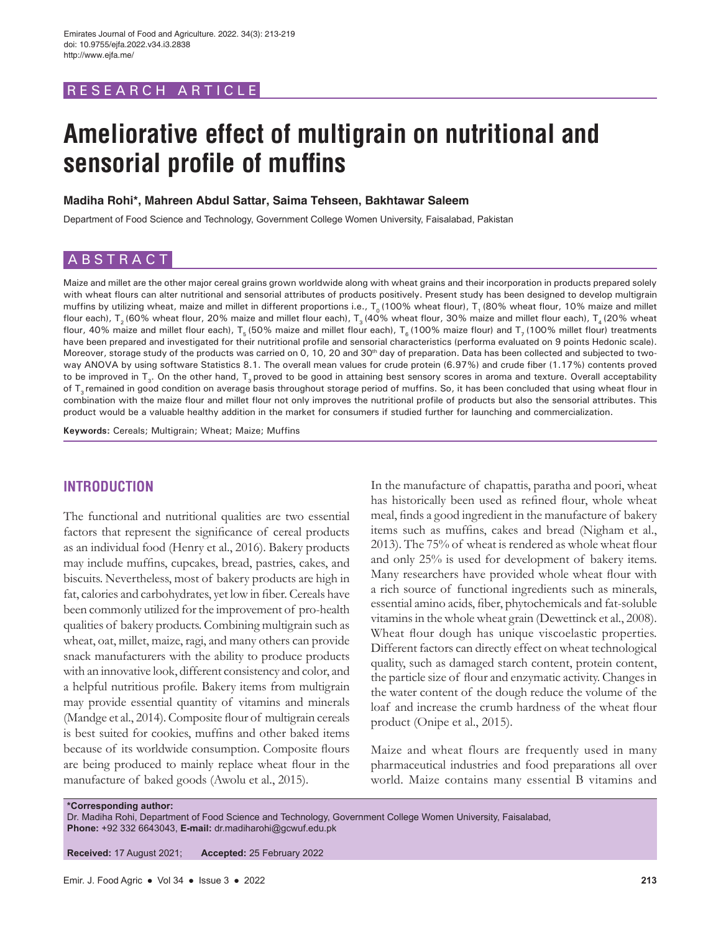# RESEARCH ARTICLE

# **Ameliorative effect of multigrain on nutritional and sensorial profile of muffins**

#### **Madiha Rohi\*, Mahreen Abdul Sattar, Saima Tehseen, Bakhtawar Saleem**

Department of Food Science and Technology, Government College Women University, Faisalabad, Pakistan

# ABSTRACT

Maize and millet are the other major cereal grains grown worldwide along with wheat grains and their incorporation in products prepared solely with wheat flours can alter nutritional and sensorial attributes of products positively. Present study has been designed to develop multigrain muffins by utilizing wheat, maize and millet in different proportions i.e.,  $T_0$  (100% wheat flour), T<sub>1</sub> (80% wheat flour, 10% maize and millet flour each), T<sub>3</sub> (60% wheat flour, 20% maize and millet flour each), T<sub>3</sub> (40% wheat flour, 30% maize and millet flour each), T<sub>4</sub> (20% wheat flour, 40% maize and millet flour each),  $T_5$  (50% maize and millet flour each),  $T_6$  (100% maize flour) and  $T_7$  (100% millet flour) treatments have been prepared and investigated for their nutritional profile and sensorial characteristics (performa evaluated on 9 points Hedonic scale). Moreover, storage study of the products was carried on 0, 10, 20 and 30<sup>th</sup> day of preparation. Data has been collected and subjected to twoway ANOVA by using software Statistics 8.1. The overall mean values for crude protein (6.97%) and crude fiber (1.17%) contents proved to be improved in  $T_a$ . On the other hand,  $T_a$  proved to be good in attaining best sensory scores in aroma and texture. Overall acceptability of T<sub>3</sub> remained in good condition on average basis throughout storage period of muffins. So, it has been concluded that using wheat flour in combination with the maize flour and millet flour not only improves the nutritional profile of products but also the sensorial attributes. This product would be a valuable healthy addition in the market for consumers if studied further for launching and commercialization.

**Keywords:** Cereals; Multigrain; Wheat; Maize; Muffins

# **INTRODUCTION**

The functional and nutritional qualities are two essential factors that represent the significance of cereal products as an individual food (Henry et al., 2016). Bakery products may include muffins, cupcakes, bread, pastries, cakes, and biscuits. Nevertheless, most of bakery products are high in fat, calories and carbohydrates, yet low in fiber. Cereals have been commonly utilized for the improvement of pro-health qualities of bakery products. Combining multigrain such as wheat, oat, millet, maize, ragi, and many others can provide snack manufacturers with the ability to produce products with an innovative look, different consistency and color, and a helpful nutritious profile. Bakery items from multigrain may provide essential quantity of vitamins and minerals (Mandge et al., 2014). Composite flour of multigrain cereals is best suited for cookies, muffins and other baked items because of its worldwide consumption. Composite flours are being produced to mainly replace wheat flour in the manufacture of baked goods (Awolu et al., 2015).

In the manufacture of chapattis, paratha and poori, wheat has historically been used as refined flour, whole wheat meal, finds a good ingredient in the manufacture of bakery items such as muffins, cakes and bread (Nigham et al., 2013). The 75% of wheat is rendered as whole wheat flour and only 25% is used for development of bakery items. Many researchers have provided whole wheat flour with a rich source of functional ingredients such as minerals, essential amino acids, fiber, phytochemicals and fat-soluble vitamins in the whole wheat grain (Dewettinck et al., 2008). Wheat flour dough has unique viscoelastic properties. Different factors can directly effect on wheat technological quality, such as damaged starch content, protein content, the particle size of flour and enzymatic activity. Changes in the water content of the dough reduce the volume of the loaf and increase the crumb hardness of the wheat flour product (Onipe et al., 2015).

Maize and wheat flours are frequently used in many pharmaceutical industries and food preparations all over world. Maize contains many essential B vitamins and

**\*Corresponding author:**

Dr. Madiha Rohi, Department of Food Science and Technology, Government College Women University, Faisalabad, **Phone:** +92 332 6643043, **E-mail:** dr.madiharohi@gcwuf.edu.pk

**Received:** 17 August 2021; **Accepted:** 25 February 2022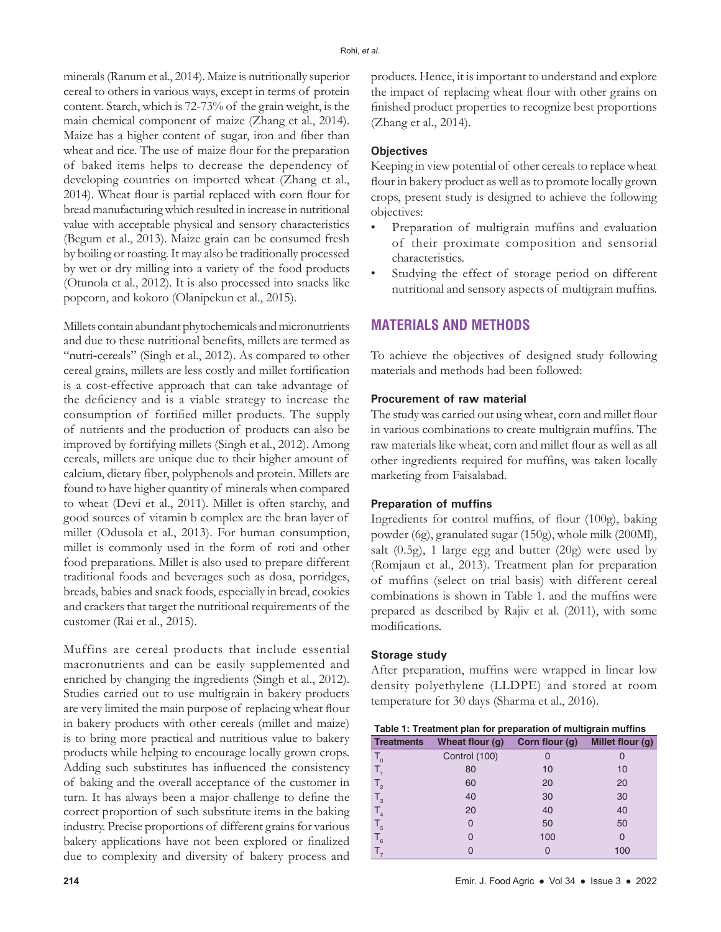minerals (Ranum et al., 2014). Maize is nutritionally superior cereal to others in various ways, except in terms of protein content. Starch, which is 72-73% of the grain weight, is the main chemical component of maize (Zhang et al., 2014). Maize has a higher content of sugar, iron and fiber than wheat and rice. The use of maize flour for the preparation of baked items helps to decrease the dependency of developing countries on imported wheat (Zhang et al., 2014). Wheat flour is partial replaced with corn flour for bread manufacturing which resulted in increase in nutritional value with acceptable physical and sensory characteristics (Begum et al., 2013). Maize grain can be consumed fresh by boiling or roasting. It may also be traditionally processed by wet or dry milling into a variety of the food products (Otunola et al., 2012). It is also processed into snacks like popcorn, and kokoro (Olanipekun et al., 2015).

Millets contain abundant phytochemicals and micronutrients and due to these nutritional benefits, millets are termed as "nutri-cereals" (Singh et al., 2012). As compared to other cereal grains, millets are less costly and millet fortification is a cost-effective approach that can take advantage of the deficiency and is a viable strategy to increase the consumption of fortified millet products. The supply of nutrients and the production of products can also be improved by fortifying millets (Singh et al., 2012). Among cereals, millets are unique due to their higher amount of calcium, dietary fiber, polyphenols and protein. Millets are found to have higher quantity of minerals when compared to wheat (Devi et al., 2011). Millet is often starchy, and good sources of vitamin b complex are the bran layer of millet (Odusola et al., 2013). For human consumption, millet is commonly used in the form of roti and other food preparations. Millet is also used to prepare different traditional foods and beverages such as dosa, porridges, breads, babies and snack foods, especially in bread, cookies and crackers that target the nutritional requirements of the customer (Rai et al., 2015).

Muffins are cereal products that include essential macronutrients and can be easily supplemented and enriched by changing the ingredients (Singh et al., 2012). Studies carried out to use multigrain in bakery products are very limited the main purpose of replacing wheat flour in bakery products with other cereals (millet and maize) is to bring more practical and nutritious value to bakery products while helping to encourage locally grown crops. Adding such substitutes has influenced the consistency of baking and the overall acceptance of the customer in turn. It has always been a major challenge to define the correct proportion of such substitute items in the baking industry. Precise proportions of different grains for various bakery applications have not been explored or finalized due to complexity and diversity of bakery process and

products. Hence, it is important to understand and explore the impact of replacing wheat flour with other grains on finished product properties to recognize best proportions (Zhang et al., 2014).

#### **Objectives**

Keeping in view potential of other cereals to replace wheat flour in bakery product as well as to promote locally grown crops, present study is designed to achieve the following objectives:

- Preparation of multigrain muffins and evaluation of their proximate composition and sensorial characteristics.
- Studying the effect of storage period on different nutritional and sensory aspects of multigrain muffins.

# **MATERIALS AND METHODS**

To achieve the objectives of designed study following materials and methods had been followed:

#### **Procurement of raw material**

The study was carried out using wheat, corn and millet flour in various combinations to create multigrain muffins. The raw materials like wheat, corn and millet flour as well as all other ingredients required for muffins, was taken locally marketing from Faisalabad.

### **Preparation of muffins**

Ingredients for control muffins, of flour (100g), baking powder (6g), granulated sugar (150g), whole milk (200Ml), salt (0.5g), 1 large egg and butter (20g) were used by (Romjaun et al., 2013). Treatment plan for preparation of muffins (select on trial basis) with different cereal combinations is shown in Table 1. and the muffins were prepared as described by Rajiv et al. (2011), with some modifications.

#### **Storage study**

After preparation, muffins were wrapped in linear low density polyethylene (LLDPE) and stored at room temperature for 30 days (Sharma et al., 2016).

| <b>Treatments</b> | Wheat flour (g) | Corn flour (g) | Millet flour (g) |
|-------------------|-----------------|----------------|------------------|
| $T_{o}$           | Control (100)   |                |                  |
| $T_{\rm a}$       | 80              | 10             | 10               |
| $T_{2}$           | 60              | 20             | 20               |
| $T_{3}$           | 40              | 30             | 30               |
| $T_{4}$           | 20              | 40             | 40               |
| $T_{5}$           | 0               | 50             | 50               |
| $T_{6}$           | 0               | 100            | 0                |
|                   | 0               | 0              | 100              |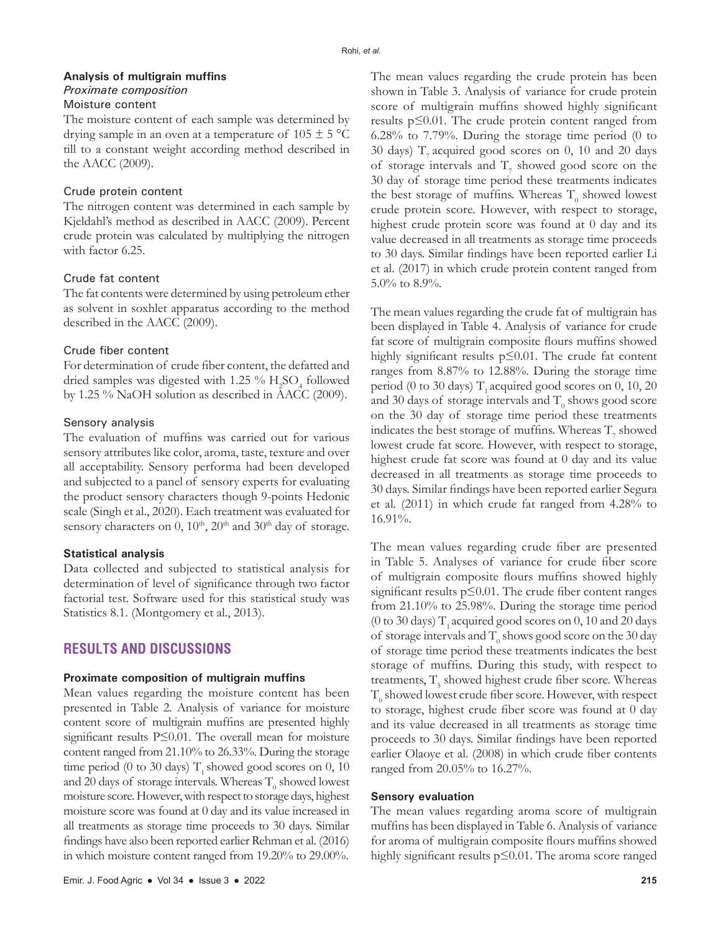# **Analysis of multigrain muffins**

# *Proximate composition*

# Moisture content

The moisture content of each sample was determined by drying sample in an oven at a temperature of  $105 \pm 5$  °C till to a constant weight according method described in the AACC (2009).

#### Crude protein content

The nitrogen content was determined in each sample by Kjeldahl's method as described in AACC (2009). Percent crude protein was calculated by multiplying the nitrogen with factor 6.25.

#### Crude fat content

The fat contents were determined by using petroleum ether as solvent in soxhlet apparatus according to the method described in the AACC (2009).

#### Crude fiber content

For determination of crude fiber content, the defatted and dried samples was digested with 1.25  $\%$  H<sub>2</sub>SO<sub>4</sub> followed by 1.25 % NaOH solution as described in AACC (2009).

#### Sensory analysis

The evaluation of muffins was carried out for various sensory attributes like color, aroma, taste, texture and over all acceptability. Sensory performa had been developed and subjected to a panel of sensory experts for evaluating the product sensory characters though 9-points Hedonic scale (Singh et al., 2020). Each treatment was evaluated for sensory characters on  $0$ ,  $10<sup>th</sup>$ ,  $20<sup>th</sup>$  and  $30<sup>th</sup>$  day of storage.

#### **Statistical analysis**

Data collected and subjected to statistical analysis for determination of level of significance through two factor factorial test. Software used for this statistical study was Statistics 8.1. (Montgomery et al., 2013).

# **RESULTS AND DISCUSSIONS**

#### **Proximate composition of multigrain muffins**

Mean values regarding the moisture content has been presented in Table 2. Analysis of variance for moisture content score of multigrain muffins are presented highly significant results P≤0.01. The overall mean for moisture content ranged from 21.10% to 26.33%. During the storage time period (0 to 30 days)  $T<sub>1</sub>$  showed good scores on 0, 10 and 20 days of storage intervals. Whereas  $\mathrm{T}_0$  showed lowest moisture score. However, with respect to storage days, highest moisture score was found at 0 day and its value increased in all treatments as storage time proceeds to 30 days. Similar findings have also been reported earlier Rehman et al. (2016) in which moisture content ranged from 19.20% to 29.00%.

The mean values regarding the crude protein has been shown in Table 3. Analysis of variance for crude protein score of multigrain muffins showed highly significant results p≤0.01. The crude protein content ranged from 6.28% to 7.79%. During the storage time period (0 to 30 days)  $T<sub>z</sub>$  acquired good scores on 0, 10 and 20 days of storage intervals and  $T_7$  showed good score on the 30 day of storage time period these treatments indicates the best storage of muffins. Whereas  $\mathrm{T}_0$  showed lowest crude protein score. However, with respect to storage, highest crude protein score was found at 0 day and its value decreased in all treatments as storage time proceeds to 30 days. Similar findings have been reported earlier Li et al. (2017) in which crude protein content ranged from 5.0% to 8.9%.

The mean values regarding the crude fat of multigrain has been displayed in Table 4. Analysis of variance for crude fat score of multigrain composite flours muffins showed highly significant results p≤0.01. The crude fat content ranges from 8.87% to 12.88%. During the storage time period (0 to 30 days)  $T<sub>1</sub>$  acquired good scores on 0, 10, 20 and 30 days of storage intervals and  $\mathrm{T}_\mathrm{0}$  shows good score on the 30 day of storage time period these treatments indicates the best storage of muffins. Whereas  $\mathrm{T}_7$  showed lowest crude fat score. However, with respect to storage, highest crude fat score was found at 0 day and its value decreased in all treatments as storage time proceeds to 30 days. Similar findings have been reported earlier Segura et al*.* (2011) in which crude fat ranged from 4.28% to 16.91%.

The mean values regarding crude fiber are presented in Table 5. Analyses of variance for crude fiber score of multigrain composite flours muffins showed highly significant results p≤0.01. The crude fiber content ranges from 21.10% to 25.98%. During the storage time period (0 to 30 days)  $T<sub>1</sub>$  acquired good scores on 0, 10 and 20 days of storage intervals and  $\mathrm{T}_0$  shows good score on the 30 day of storage time period these treatments indicates the best storage of muffins. During this study, with respect to treatments,  $\mathrm{T}_5$  showed highest crude fiber score. Whereas  $\mathrm{T}_0$  showed lowest crude fiber score. However, with respect to storage, highest crude fiber score was found at 0 day and its value decreased in all treatments as storage time proceeds to 30 days. Similar findings have been reported earlier Olaoye et al. (2008) in which crude fiber contents ranged from 20.05% to 16.27%.

#### **Sensory evaluation**

The mean values regarding aroma score of multigrain muffins has been displayed in Table 6. Analysis of variance for aroma of multigrain composite flours muffins showed highly significant results p≤0.01. The aroma score ranged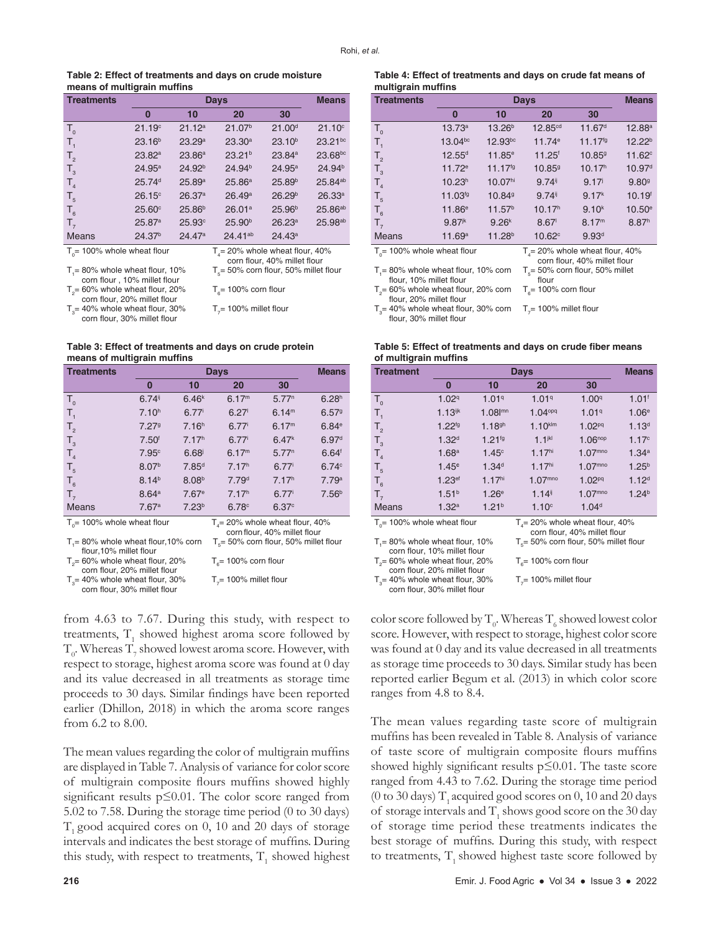#### **Table 2: Effect of treatments and days on crude moisture means of multigrain muffins**

| <b>Treatments</b>                                                   |                    |                    | <b>Means</b>       |                    |                     |
|---------------------------------------------------------------------|--------------------|--------------------|--------------------|--------------------|---------------------|
|                                                                     | $\bf{0}$           | 10                 | 20                 | 30                 |                     |
| $T_{0}$                                                             | 21.19 <sup>c</sup> | 21.12a             | 21.07 <sup>b</sup> | 21.00 <sup>d</sup> | 21.10 <sup>c</sup>  |
| $T_{1}$                                                             | 23.16 <sup>b</sup> | 23.29a             | 23.30a             | 23.10 <sup>b</sup> | $23.21^{bc}$        |
| T <sub>2</sub>                                                      | 23.82a             | 23.86a             | 23.21 <sup>b</sup> | 23.84a             | 23.68bc             |
| $T_{3}$                                                             | 24.95a             | 24.92 <sup>b</sup> | 24.94 <sup>b</sup> | 24.95a             | 24.94 <sup>b</sup>  |
| T <sub>4</sub>                                                      | 25.74 <sup>d</sup> | 25.89a             | 25.86 <sup>a</sup> | 25.89 <sup>b</sup> | 25.84ab             |
| $T_{5}$                                                             | $26.15^{\circ}$    | 26.37a             | 26.49a             | 26.29 <sup>b</sup> | 26.33a              |
| $T_{6}$                                                             | $25.60^\circ$      | 25.86 <sup>b</sup> | 26.01a             | 25.96 <sup>b</sup> | 25.86 <sup>ab</sup> |
| $T_{7}$                                                             | 25.87a             | 25.93c             | 25.90 <sup>b</sup> | 26.23a             | 25.98 <sup>ab</sup> |
| <b>Means</b>                                                        | 24.37 <sup>b</sup> | 24.47a             | $24.41^{ab}$       | 24.43a             |                     |
| $T0 = 100%$ whole wheat flour<br>$T1 = 20\%$ whole wheat flour, 40% |                    |                    |                    |                    |                     |

 $T_i$ = 80% whole wheat flour, 10% corn flour , 10% millet flour  $T_{2}$ = 60% whole wheat flour, 20% corn flour, 20% millet flour

 $T_{3}$ = 40% whole wheat flour, 30% corn flour, 30% millet flour

corn flour, 40% millet flour  $\mathsf{T}_\mathsf{s}{=}\,50\%$  corn flour,  $50\%$  millet flour  ${\mathsf T}_{{\scriptscriptstyle 6}}$ = 100% corn flour

 $T_{7}$ = 100% millet flour

**Table 3: Effect of treatments and days on crude protein means of multigrain muffins**

| Treatments                                                         |                      | <b>Means</b>                                                      |                                  |                   |                   |
|--------------------------------------------------------------------|----------------------|-------------------------------------------------------------------|----------------------------------|-------------------|-------------------|
|                                                                    | 0                    | 10                                                                | 20                               | 30                |                   |
| $T_{0}$                                                            | $6.74$ <sup>ij</sup> | 6.46 <sup>k</sup>                                                 | 6.17 <sup>m</sup>                | 5.77 <sup>n</sup> | 6.28 <sup>h</sup> |
| $T_{1}$                                                            | 7.10 <sup>h</sup>    | $6.77^{\circ}$                                                    | 6.27                             | 6.14 <sup>m</sup> | 6.579             |
| T <sub>2</sub>                                                     | 7.279                | 7.16 <sup>h</sup>                                                 | $6.77^{\circ}$                   | 6.17 <sup>m</sup> | 6.84e             |
| $T_{3}$                                                            | 7.50 <sup>6</sup>    | 7.17 <sup>h</sup>                                                 | $6.77^{i}$                       | 6.47 <sup>k</sup> | 6.97 <sup>d</sup> |
| T <sub>4</sub>                                                     | 7.95c                | 6.68                                                              | 6.17 <sup>m</sup>                | 5.77 <sup>n</sup> | $6.64^t$          |
| T <sub>5</sub>                                                     | 8.07 <sup>b</sup>    | 7.85 <sup>d</sup>                                                 | 7.17 <sup>h</sup>                | $6.77^{\circ}$    | 6.74c             |
| $T_{6}$                                                            | 8.14 <sup>b</sup>    | 8.08 <sup>b</sup>                                                 | 7.79 <sup>d</sup>                | 7.17 <sup>h</sup> | 7.79a             |
| $T_{7}$                                                            | 8.64a                | 7.67 <sup>e</sup>                                                 | 7.17 <sup>h</sup>                | $6.77^{\text{i}}$ | 7.56 <sup>b</sup> |
| <b>Means</b>                                                       | 7.67a                | 7.23 <sup>b</sup>                                                 | 6.78c                            | 6.37c             |                   |
| $T_{0}$ = 100% whole wheat flour                                   |                      | $T4$ = 20% whole wheat flour, 40%<br>corn flour, 40% millet flour |                                  |                   |                   |
| $T1 = 80\%$ whole wheat flour, 10% corn<br>flour, 10% millet flour |                      | $T_s$ = 50% corn flour, 50% millet flour                          |                                  |                   |                   |
| $T2 = 60\%$ whole wheat flour, 20%<br>corn flour, 20% millet flour |                      | $T_{\text{e}}$ = 100% corn flour                                  |                                  |                   |                   |
| $T3$ = 40% whole wheat flour, 30%                                  |                      |                                                                   | $T_{\gamma}$ = 100% millet flour |                   |                   |

= 40% whole wheat flour, 30% corn flour, 30% millet flour

 $T_{7}$ = 100% millet flour

from 4.63 to 7.67. During this study, with respect to treatments,  $T_1$  showed highest aroma score followed by  $T_{\rm o}$ . Whereas  $T_{\rm o}$  showed lowest aroma score. However, with respect to storage, highest aroma score was found at 0 day and its value decreased in all treatments as storage time proceeds to 30 days. Similar findings have been reported earlier (Dhillon*,* 2018) in which the aroma score ranges from 6.2 to 8.00.

The mean values regarding the color of multigrain muffins are displayed in Table 7. Analysis of variance for color score of multigrain composite flours muffins showed highly significant results p≤0.01. The color score ranged from 5.02 to 7.58. During the storage time period (0 to 30 days)  $T<sub>1</sub>$  good acquired cores on 0, 10 and 20 days of storage intervals and indicates the best storage of muffins. During this study, with respect to treatments,  $\mathrm{T}_1$  showed highest

#### **Table 4: Effect of treatments and days on crude fat means of multigrain muffins**

| <b>Treatments</b>                                                  |                      | Days                |                                                                      |                    |                    |  |  |
|--------------------------------------------------------------------|----------------------|---------------------|----------------------------------------------------------------------|--------------------|--------------------|--|--|
|                                                                    | 0                    | 10                  | 20                                                                   | 30                 |                    |  |  |
| $T_{0}$                                                            | 13.73a               | 13.26 <sup>b</sup>  | 12.85 <sup>cd</sup>                                                  | 11.67 <sup>d</sup> | $12.88^{\circ}$    |  |  |
| $T_{1}$                                                            | $13.04^{bc}$         | $12.93^{bc}$        | 11.74e                                                               | $11.17^{fg}$       | 12.22 <sup>b</sup> |  |  |
| $T_{2}$                                                            | $12.55^{d}$          | $11.85^e$           | $11.25^t$                                                            | 10.859             | $11.62^{\circ}$    |  |  |
| $T_{3}$                                                            | $11.72^e$            | $11.17^{fg}$        | 10.859                                                               | 10.17 <sup>h</sup> | 10.97 <sup>d</sup> |  |  |
| $T_{4}$                                                            | 10.23 <sup>h</sup>   | 10.07 <sup>hi</sup> | $9.74$ <sup>ij</sup>                                                 | 9.17               | 9.80 <sup>9</sup>  |  |  |
| $T_{5}$                                                            | 11.03fg              | 10.849              | 9.74                                                                 | 9.17 <sup>k</sup>  | 10.19 <sup>f</sup> |  |  |
| $T_{6}$                                                            | 11.86e               | 11.57 <sup>b</sup>  | 10.17 <sup>h</sup>                                                   | 9.10 <sup>k</sup>  | $10.50^{\circ}$    |  |  |
| $T_{7}$                                                            | $9.87$ <sup>jk</sup> | 9.26 <sup>k</sup>   | 8.67                                                                 | 8.17 <sup>m</sup>  | 8.87 <sup>h</sup>  |  |  |
| <b>Means</b>                                                       | 11.69a               | 11.28 <sup>b</sup>  | $10.62^\circ$                                                        | 9.93 <sup>d</sup>  |                    |  |  |
| $T_{0}$ = 100% whole wheat flour                                   |                      |                     | $T_{4}$ = 20% whole wheat flour, 40%<br>corn flour, 40% millet flour |                    |                    |  |  |
| $T1 = 80\%$ whole wheat flour, 10% corn<br>flour, 10% millet flour |                      |                     | $T_s$ = 50% corn flour, 50% millet<br>flour                          |                    |                    |  |  |
| $To= 60\%$ whole wheat flour, 20% corn<br>flour, 20% millet flour  |                      |                     | $T_e$ = 100% corn flour                                              |                    |                    |  |  |
|                                                                    |                      |                     |                                                                      |                    |                    |  |  |

 $T_{3}$  = 40% whole wheat flour, 30% corn  $T_{7}$  = 100% millet flour flour, 30% millet flour

**Table 5: Effect of treatments and days on crude fiber means of multigrain muffins**

| <b>Treatment</b>                                                   |                       | <b>Days</b>                                                       |                         |                     |                     |  |  |
|--------------------------------------------------------------------|-----------------------|-------------------------------------------------------------------|-------------------------|---------------------|---------------------|--|--|
|                                                                    | 0                     | 10                                                                | 20                      | 30                  |                     |  |  |
| $T_{0}$                                                            | 1.029                 | 1.019                                                             | 1.019                   | 1.00 <sup>q</sup>   | $1.01$ <sup>f</sup> |  |  |
| Τ,                                                                 | $1.13$ <sup>ijk</sup> | $1.08$ m                                                          | 1.04 <sup>opq</sup>     | 1.019               | 1.06 <sup>e</sup>   |  |  |
| $T_{2}$                                                            | $1.22^{ig}$           | 1.18 <sup>gh</sup>                                                | $1.10$ klm              | 1.02 <sup>pq</sup>  | 1.13 <sup>d</sup>   |  |  |
| $T_{3}$                                                            | 1.32 <sup>d</sup>     | $1.21^{fg}$                                                       | 1.1 <sup>ikl</sup>      | $1.06^{nop}$        | 1.17c               |  |  |
| T <sub>4</sub>                                                     | 1.68 <sup>a</sup>     | 1.45 <sup>c</sup>                                                 | 1.17 <sup>hi</sup>      | 1.07 <sup>mno</sup> | 1.34a               |  |  |
| $T_{5}$                                                            | 1.45c                 | 1.34 <sup>d</sup>                                                 | 1.17 <sup>hi</sup>      | 1.07 <sup>mno</sup> | $1.25^{b}$          |  |  |
| $T_{6}$                                                            | $1.23$ <sup>ef</sup>  | 1.17 <sup>hi</sup>                                                | $1.07^{mno}$            | 1.02 <sup>pq</sup>  | 1.12 <sup>d</sup>   |  |  |
| $T_{7}$                                                            | 1.51 <sup>b</sup>     | 1.26 <sup>e</sup>                                                 | $1.14$ <sup>ij</sup>    | 1.07 <sup>mno</sup> | 1.24 <sup>b</sup>   |  |  |
| <b>Means</b>                                                       | 1.32a                 | 1.21 <sup>b</sup>                                                 | 1.10 <sup>c</sup>       | 1.04 <sup>d</sup>   |                     |  |  |
| $To$ = 100% whole wheat flour                                      |                       | $T4$ = 20% whole wheat flour, 40%<br>corn flour, 40% millet flour |                         |                     |                     |  |  |
| $T1 = 80\%$ whole wheat flour, 10%<br>corn flour, 10% millet flour |                       | $T_s$ = 50% corn flour, 50% millet flour                          |                         |                     |                     |  |  |
| $T0 = 60\%$ whole wheat flour, 20%                                 |                       |                                                                   | $T_e$ = 100% corn flour |                     |                     |  |  |

corn flour, 20% millet flour

 $T_{3}$ = 40% whole wheat flour, 30% corn flour, 30% millet flour  $T_{7}$ = 100% millet flour

color score followed by  $\mathrm{T}_0.$  Whereas  $\mathrm{T}_6$  showed lowest color score. However, with respect to storage, highest color score was found at 0 day and its value decreased in all treatments as storage time proceeds to 30 days. Similar study has been reported earlier Begum et al. (2013) in which color score ranges from 4.8 to 8.4.

The mean values regarding taste score of multigrain muffins has been revealed in Table 8. Analysis of variance of taste score of multigrain composite flours muffins showed highly significant results  $p \leq 0.01$ . The taste score ranged from 4.43 to 7.62. During the storage time period (0 to 30 days)  $T_1$  acquired good scores on 0, 10 and 20 days of storage intervals and  $\mathrm{T}_\mathrm{1}$  shows good score on the 30 day of storage time period these treatments indicates the best storage of muffins. During this study, with respect to treatments,  $T<sub>1</sub>$  showed highest taste score followed by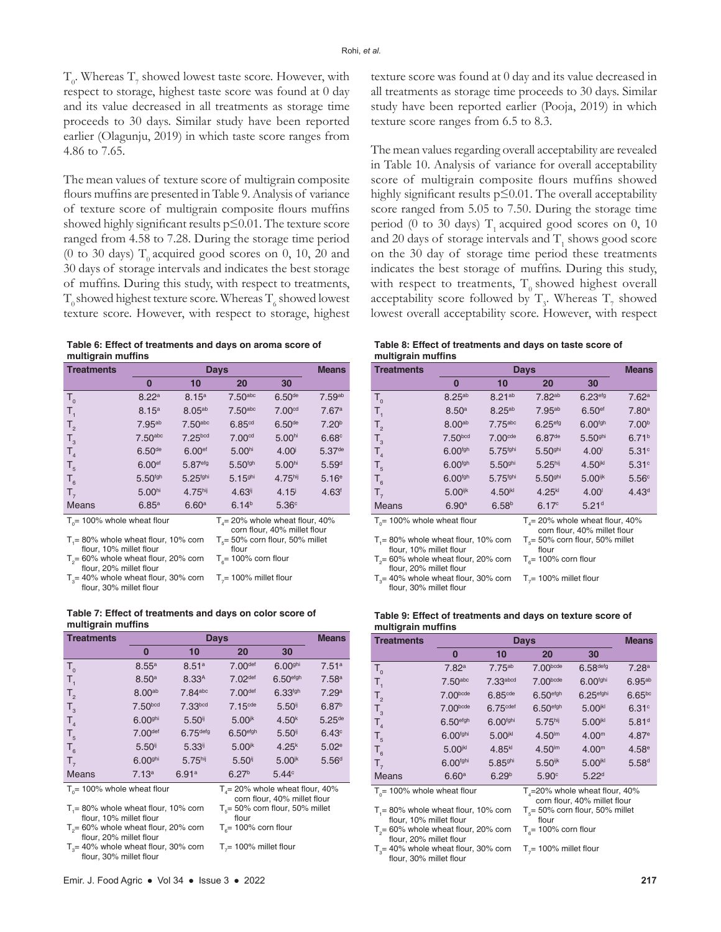$T_{0}$ . Whereas  $T_{7}$  showed lowest taste score. However, with respect to storage, highest taste score was found at 0 day and its value decreased in all treatments as storage time proceeds to 30 days. Similar study have been reported earlier (Olagunju, 2019) in which taste score ranges from 4.86 to 7.65.

The mean values of texture score of multigrain composite flours muffins are presented in Table 9. Analysis of variance of texture score of multigrain composite flours muffins showed highly significant results p≤0.01. The texture score ranged from 4.58 to 7.28. During the storage time period (0 to 30 days)  $T_0$  acquired good scores on 0, 10, 20 and 30 days of storage intervals and indicates the best storage of muffins. During this study, with respect to treatments,  $\mathrm{T}_\mathrm{0}$  showed highest texture score. Whereas  $\mathrm{T}_\mathrm{6}$  showed lowest texture score. However, with respect to storage, highest

| Table 6: Effect of treatments and days on aroma score of |  |
|----------------------------------------------------------|--|
| multigrain muffins                                       |  |

| <b>Treatments</b>                |                     | <b>Days</b>         |                                   |                              |                      |  |  |  |
|----------------------------------|---------------------|---------------------|-----------------------------------|------------------------------|----------------------|--|--|--|
|                                  | $\bf{0}$            | 10                  | 20                                | 30                           |                      |  |  |  |
| $T_{0}$                          | 8.22a               | 8.15 <sup>a</sup>   | $7.50$ abc                        | 6.50 <sup>de</sup>           | 7.59 <sup>ab</sup>   |  |  |  |
| $T_{1}$                          | 8.15 <sup>a</sup>   | 8.05 <sup>ab</sup>  | $7.50$ abc                        | 7.00 <sub>cd</sub>           | 7.67a                |  |  |  |
| $T_{2}$                          | $7.95^{ab}$         | 7.50 <sub>abc</sub> | 6.85 <sup>cd</sup>                | 6.50 <sup>de</sup>           | 7.20 <sup>b</sup>    |  |  |  |
| $T_{3}$                          | 7.50 <sub>abc</sub> | 7.25 <sub>bcd</sub> | 7.00 <sub>cd</sub>                | 5.00 <sup>hi</sup>           | 6.68c                |  |  |  |
| $T_{4}$                          | 6.50 <sup>de</sup>  | 6.00 <sup>ef</sup>  | 5.00 <sup>hi</sup>                | 4.00 <sup>j</sup>            | $5.37$ <sup>de</sup> |  |  |  |
| $T_{5}$                          | 6.00 <sup>ef</sup>  | 5.87efg             | 5.50 <sup>fgh</sup>               | 5.00 <sup>hi</sup>           | 5.59 <sup>d</sup>    |  |  |  |
| $T_{6}$                          | 5.50 <sup>fgh</sup> | 5.25fghi            | 5.15 <sup>ghi</sup>               | 4.75 <sup>hij</sup>          | 5.16 <sup>e</sup>    |  |  |  |
| $T_{7}$                          | 5.00 <sup>hi</sup>  | 4.75 <sup>hij</sup> | $4.63$ <sup>ij</sup>              | 4.15 <sup>i</sup>            | 4.63 <sup>1</sup>    |  |  |  |
| <b>Means</b>                     | 6.85a               | 6.60a               | 6.14 <sup>b</sup>                 | 5.36 <sup>c</sup>            |                      |  |  |  |
| $T_{0}$ = 100% whole wheat flour |                     |                     | $T4$ = 20% whole wheat flour, 40% | corn flour. 40% millet flour |                      |  |  |  |

 $T_{1}$ = 80% whole wheat flour, 10% corn flour, 10% millet flour  $\mathsf{T}_5$ = 50% corn flour, 50% millet flour  $T_{2}$ = 60% whole wheat flour, 20% corn  ${\mathsf T}_{\scriptscriptstyle 6}$ = 100% corn flour

- flour, 20% millet flour  $T_{3}$ = 40% whole wheat flour, 30% corn  $T_{7}$ = 100% millet flour
- flour, 30% millet flour

**Table 7: Effect of treatments and days on color score of multigrain muffins**

| <b>Treatments</b>                       |                       | <b>Days</b>           |                                      |                              |                      |  |  |
|-----------------------------------------|-----------------------|-----------------------|--------------------------------------|------------------------------|----------------------|--|--|
|                                         | 0                     | 10                    | 20                                   | 30                           |                      |  |  |
| $T_{o}$                                 | 8.55a                 | 8.51 <sup>a</sup>     | 7.00def                              | 6.00 <sup>ghi</sup>          | 7.51 <sup>a</sup>    |  |  |
| $T_{1}$                                 | 8.50 <sup>a</sup>     | 8.33 <sup>A</sup>     | 7.02def                              | 6.50 <sup>efgh</sup>         | 7.58 <sup>a</sup>    |  |  |
| $T_{2}$                                 | 8.00ab                | $7.84$ <sub>abc</sub> | 7.00def                              | 6.33 <sup>fgh</sup>          | 7.29a                |  |  |
| $T_{3}$                                 | 7.50 <sub>textb</sub> | 7.33 <sub>bcd</sub>   | 7.15 <sup>cde</sup>                  | $5.50$ <sup>ij</sup>         | 6.87 <sup>b</sup>    |  |  |
| T <sub>4</sub>                          | 6.00 <sup>ghi</sup>   | $5.50$ <sup>ij</sup>  | $5.00$ jk                            | 4.50 <sup>k</sup>            | $5.25$ <sup>de</sup> |  |  |
| $T_{5}$                                 | 7.00 <sup>def</sup>   | 6.75 <sup>defg</sup>  | 6.50 <sup>efgh</sup>                 | $5.50$ <sup>ij</sup>         | 6.43c                |  |  |
| $T_{6}$                                 | $5.50$ <sup>ij</sup>  | $5.33^{i}$            | $5.00^{jk}$                          | $4.25^{k}$                   | 5.02 <sup>e</sup>    |  |  |
| $T_{7}$                                 | 6.00 <sup>ghi</sup>   | 5.75 <sup>hij</sup>   | 5.50                                 | $5.00^{jk}$                  | 5.56 <sup>d</sup>    |  |  |
| <b>Means</b>                            | 7.13a                 | 6.91a                 | 6.27 <sup>b</sup>                    | 5.44c                        |                      |  |  |
| $T_{\text{S}}$ = 100% whole wheat flour |                       |                       | $T_{4}$ = 20% whole wheat flour, 40% | corn flour. 40% millet flour |                      |  |  |

 $T_1 = 80\%$  whole wheat flour, 10% corn flour, 10% millet flour

flour  ${\mathsf T}_{{\scriptscriptstyle 6}}$ = 100% corn flour

 $T_s$ = 50% corn flour, 50% millet

 $T_{2}$ = 60% whole wheat flour, 20% corn flour, 20% millet flour  $T_{3}$ = 40% whole wheat flour, 30% corn

flour, 30% millet flour  $T_{7}$ = 100% millet flour texture score was found at 0 day and its value decreased in all treatments as storage time proceeds to 30 days. Similar study have been reported earlier (Pooja, 2019) in which texture score ranges from 6.5 to 8.3.

The mean values regarding overall acceptability are revealed in Table 10. Analysis of variance for overall acceptability score of multigrain composite flours muffins showed highly significant results p≤0.01. The overall acceptability score ranged from 5.05 to 7.50. During the storage time period (0 to 30 days)  $T<sub>1</sub>$  acquired good scores on 0, 10 and 20 days of storage intervals and  $\mathrm{T}_\mathrm{1}$  shows good score on the 30 day of storage time period these treatments indicates the best storage of muffins. During this study, with respect to treatments,  $T_0$  showed highest overall acceptability score followed by  $T_3$ . Whereas  $T_7$  showed lowest overall acceptability score. However, with respect

| Table 8: Effect of treatments and days on taste score of |  |  |
|----------------------------------------------------------|--|--|
| multigrain muffins                                       |  |  |

| <b>Treatments</b>                                                 |                       | <b>Days</b>          |                                                                  |                       |                   |  |
|-------------------------------------------------------------------|-----------------------|----------------------|------------------------------------------------------------------|-----------------------|-------------------|--|
|                                                                   | 0                     | 10                   | 20                                                               | 30                    |                   |  |
| $T_{0}$                                                           | $8.25^{ab}$           | $8.21^{ab}$          | 7.82ab                                                           | $6.23$ <sup>efg</sup> | 7.62 <sup>a</sup> |  |
| Т,                                                                | 8.50 <sup>a</sup>     | $8.25^{ab}$          | $7.95^{ab}$                                                      | 6.50 <sup>ef</sup>    | 7.80 <sup>a</sup> |  |
| T <sub>2</sub>                                                    | 8.00ab                | $7.75$ abc           | 6.25 <sup>efg</sup>                                              | 6.00 <sup>fgh</sup>   | 7.00 <sup>b</sup> |  |
| $T_{3}$                                                           | 7.50 <sub>bcd</sub>   | 7.00 <sub>cde</sub>  | $6.87$ <sup>de</sup>                                             | 5.50 <sup>ghi</sup>   | 6.71 <sup>b</sup> |  |
| T <sub>4</sub>                                                    | 6.00 <sup>fgh</sup>   | 5.75 <sup>fghi</sup> | 5.50 <sup>ghi</sup>                                              | 4.00 <sup>1</sup>     | 5.31 <sup>c</sup> |  |
| T <sub>5</sub>                                                    | 6.00 <sup>fgh</sup>   | 5.50 <sup>ghi</sup>  | 5.25 <sup>hij</sup>                                              | 4.50 <sup>jkl</sup>   | 5.31c             |  |
| $T_{6}$                                                           | 6.00 <sup>fgh</sup>   | 5.75fghi             | 5.50 <sup>ghi</sup>                                              | $5.00$ <sup>ijk</sup> | 5.56c             |  |
| $T_{7}$                                                           | $5.00$ <sup>ijk</sup> | 4.50 <sup>ikl</sup>  | $4.25^{kl}$                                                      | 4.00 <sup>1</sup>     | 4.43 <sup>d</sup> |  |
| <b>Means</b>                                                      | 6.90a                 | 6.58 <sup>b</sup>    | 6.17c                                                            | 5.21 <sup>d</sup>     |                   |  |
| $To$ = 100% whole wheat flour                                     |                       |                      | $T4= 20%$ whole wheat flour, 40%<br>corn flour, 40% millet flour |                       |                   |  |
| $T = 80\%$ whole wheat flour, 10% corn<br>flour, 10% millet flour |                       |                      | $T_s$ = 50% corn flour, 50% millet<br>flour                      |                       |                   |  |
| $To= 60\%$ whole wheat flour, 20% corn                            |                       |                      | $Ta = 100\%$ corn flour                                          |                       |                   |  |

flour, 30% millet flour

flour, 20% millet flour

 ${\sf T}_{\sf a}$ = 40% whole wheat flour, 30% corn  $\mathsf{T}_{7}$ = 100% millet flour

**Table 9: Effect of treatments and days on texture score of multigrain muffins**

| <b>Treatments</b>                    |                      |                        | <b>Means</b>                      |                       |                   |
|--------------------------------------|----------------------|------------------------|-----------------------------------|-----------------------|-------------------|
|                                      | $\bf{0}$             | 10                     | 20                                | 30                    |                   |
| $T_{0}$                              | 7.82 <sup>a</sup>    | $7.75^{ab}$            | 7.00 <sub>bcde</sub>              | 6.58 <sup>defg</sup>  | 7.28 <sup>a</sup> |
| $T_{1}$                              | $7.50$ abc           | $7.33a$ <sub>bcd</sub> | 7.00 <sub>bcde</sub>              | 6.00fghi              | $6.95^{ab}$       |
| $T_{2}$                              | 7.00 <sub>bcde</sub> | 6.85 <sub>cde</sub>    | 6.50 <sup>efgh</sup>              | 6.25 <sup>efghi</sup> | $6.65^{bc}$       |
| $T_{3}$                              | 7.00 <sub>bcde</sub> | 6.75 <sup>cdef</sup>   | 6.50 <sup>efgh</sup>              | 5.00 <sup>ikl</sup>   | 6.31 <sup>c</sup> |
| T <sub>4</sub>                       | 6.50 <sup>efgh</sup> | 6.00fghi               | 5.75 <sup>hij</sup>               | 5.00 <sup>ikl</sup>   | 5.81 <sup>d</sup> |
| $T_{5}$                              | 6.00fghi             | 5.00 <sup>ikl</sup>    | 4.50 <sup>lm</sup>                | 4.00 <sup>m</sup>     | 4.87e             |
| $T_{6}$                              | 5.00 <sup>jkl</sup>  | $4.85^{kl}$            | 4.50 <sup>lm</sup>                | 4.00 <sup>m</sup>     | 4.58 <sup>e</sup> |
| $T_{7}$                              | 6.00fghi             | 5.85 <sup>ghi</sup>    | $5.50$ ijk                        | 5.00 <sup>ikl</sup>   | 5.58 <sup>d</sup> |
| <b>Means</b>                         | 6.60a                | 6.29 <sup>b</sup>      | 5.90 <sup>c</sup>                 | 5.22 <sup>d</sup>     |                   |
| $T_{\rm s}$ = 100% whole wheat flour |                      |                        | $T = 20\%$ whole wheat flour, 40% |                       |                   |

 $T_{0}$ = 100% whole wheat flour  $T_{4}$ 

flour, 20% millet flour

 $T_{1}$ = 80% whole wheat flour, 10% corn flour, 10% millet flour  $T_{2}$ = 60% whole wheat flour, 20% corn

 ${\mathsf T}_{{\scriptscriptstyle 6}}$ = 100% corn flour

 $T_{3}$  = 40% whole wheat flour, 30% corn flour, 30% millet flour

corn flour, 40% millet flour

 $T_{5}$ = 50% corn flour, 50% millet

flour

 $T_{7}$ = 100% millet flour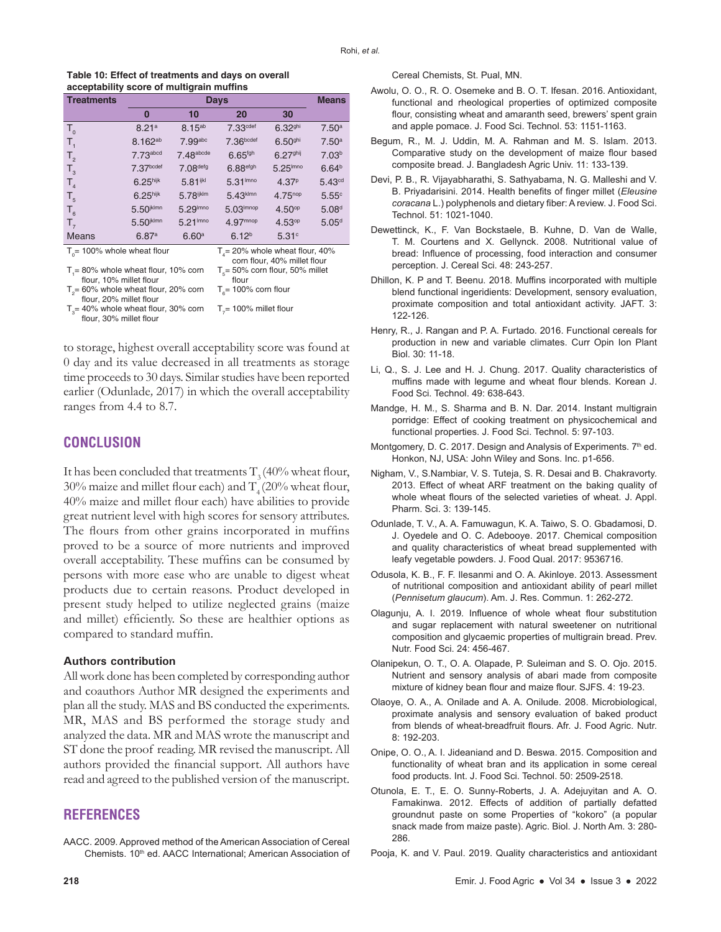| Table 10: Effect of treatments and days on overall |  |
|----------------------------------------------------|--|
| acceptability score of multigrain muffins          |  |

| <b>Treatments</b>                                                              |                         | <b>Means</b>           |                        |                      |                    |  |
|--------------------------------------------------------------------------------|-------------------------|------------------------|------------------------|----------------------|--------------------|--|
|                                                                                | 0                       | 10                     | 20                     | 30                   |                    |  |
| $T_{0}$                                                                        | 8.21a                   | 8.15ab                 | 7.33 <sup>cdef</sup>   | 6.32 <sup>ghi</sup>  | 7.50 <sup>a</sup>  |  |
| $\mathsf{T}_{\scriptscriptstyle{1}}$                                           | 8.162ab                 | 7.99abc                | 7.36 <sub>bcdef</sub>  | 6.50 <sup>ghi</sup>  | 7.50 <sup>a</sup>  |  |
| T <sub>2</sub>                                                                 | $7.73$ abcd             | $7.48$ abcde           | 6.65 <sup>fgh</sup>    | 6.27 <sup>ghij</sup> | 7.03 <sup>b</sup>  |  |
| $T_{3}$                                                                        | 7.37 <sub>bcdef</sub>   | 7.08defg               | 6.88 <sup>efgh</sup>   | $5.25l$ mno          | 6.64 <sup>b</sup>  |  |
| T <sub>4</sub>                                                                 | $6.25$ hijk             | 5.81 <sup>ijkl</sup>   | 5.31 <sup>lmno</sup>   | 4.37 <sup>p</sup>    | 5.43 <sup>cd</sup> |  |
| T <sub>5</sub>                                                                 | 6.25 <sup>hijk</sup>    | 5.78ijklm              | $5.43$ <sup>klmn</sup> | $4.75^{nop}$         | 5.55c              |  |
| $T_{6}$                                                                        | $5.50$ ikimn            | $5.29$ <sup>Imno</sup> | 5.03 <sup>lmnop</sup>  | 4.50 <sup>op</sup>   | 5.08 <sup>d</sup>  |  |
| $T_{7}$                                                                        | $5.50$ <sup>jklmn</sup> | 5.21 <sup>lmno</sup>   | $4.97$ <sup>mnop</sup> | 4.53 <sup>op</sup>   | 5.05 <sup>d</sup>  |  |
| <b>Means</b>                                                                   | 6.87a                   | 6.60 <sup>a</sup>      | 6.12 <sup>b</sup>      | 5.31c                |                    |  |
| $To$ = 100% whole wheat flour<br>$T4$ = 20% whole wheat flour, 40%             |                         |                        |                        |                      |                    |  |
| corn flour, 40% millet flour                                                   |                         |                        |                        |                      |                    |  |
| $T_1 = 80\%$ whole wheat flour, 10% corn<br>$T_s$ = 50% corn flour, 50% millet |                         |                        |                        |                      |                    |  |
| flour. 10% millet flour<br>flour                                               |                         |                        |                        |                      |                    |  |

flour, 10% millet flour<br>T<sub>2</sub>= 60% whole wheat flour, 20% corn flour<br>T<sub>6</sub>= 100% corn flour

flour, 20% millet flour  $T_{3}$ = 40% whole wheat flour, 30% corn flour, 30% millet flour  $T_{7}$ = 100% millet flour

to storage, highest overall acceptability score was found at 0 day and its value decreased in all treatments as storage time proceeds to 30 days. Similar studies have been reported earlier (Odunlade*,* 2017) in which the overall acceptability ranges from 4.4 to 8.7.

## **CONCLUSION**

It has been concluded that treatments  $T$ , (40% wheat flour,  $30\%$  maize and millet flour each) and T<sub>4</sub> (20% wheat flour, 40% maize and millet flour each) have abilities to provide great nutrient level with high scores for sensory attributes. The flours from other grains incorporated in muffins proved to be a source of more nutrients and improved overall acceptability. These muffins can be consumed by persons with more ease who are unable to digest wheat products due to certain reasons. Product developed in present study helped to utilize neglected grains (maize and millet) efficiently. So these are healthier options as compared to standard muffin.

#### **Authors contribution**

All work done has been completed by corresponding author and coauthors Author MR designed the experiments and plan all the study. MAS and BS conducted the experiments. MR, MAS and BS performed the storage study and analyzed the data. MR and MAS wrote the manuscript and ST done the proof reading. MR revised the manuscript. All authors provided the financial support. All authors have read and agreed to the published version of the manuscript.

# **REFERENCES**

AACC. 2009. Approved method of the American Association of Cereal Chemists. 10<sup>th</sup> ed. AACC International; American Association of

- Awolu, O. O., R. O. Osemeke and B. O. T. Ifesan. 2016. Antioxidant, functional and rheological properties of optimized composite flour, consisting wheat and amaranth seed, brewers' spent grain and apple pomace. J. Food Sci. Technol. 53: 1151-1163.
- Begum, R., M. J. Uddin, M. A. Rahman and M. S. Islam. 2013. Comparative study on the development of maize flour based composite bread. J. Bangladesh Agric Univ. 11: 133-139.
- Devi, P. B., R. Vijayabharathi, S. Sathyabama, N. G. Malleshi and V. B. Priyadarisini. 2014. Health benefits of finger millet (*Eleusine coracana* L.) polyphenols and dietary fiber: A review. J. Food Sci. Technol. 51: 1021-1040.
- Dewettinck, K., F. Van Bockstaele, B. Kuhne, D. Van de Walle, T. M. Courtens and X. Gellynck. 2008. Nutritional value of bread: Influence of processing, food interaction and consumer perception. J. Cereal Sci. 48: 243-257.
- Dhillon, K. P and T. Beenu. 2018. Muffins incorporated with multiple blend functional ingeridients: Development, sensory evaluation, proximate composition and total antioxidant activity. JAFT. 3: 122-126.
- Henry, R., J. Rangan and P. A. Furtado. 2016. Functional cereals for production in new and variable climates. Curr Opin Ion Plant Biol. 30: 11-18.
- Li, Q., S. J. Lee and H. J. Chung. 2017. Quality characteristics of muffins made with legume and wheat flour blends. Korean J. Food Sci. Technol. 49: 638-643.
- Mandge, H. M., S. Sharma and B. N. Dar. 2014. Instant multigrain porridge: Effect of cooking treatment on physicochemical and functional properties. J. Food Sci. Technol. 5: 97-103.
- Montgomery, D. C. 2017. Design and Analysis of Experiments. 7<sup>th</sup> ed. Honkon, NJ, USA: John Wiley and Sons. Inc. p1-656.
- Nigham, V., S.Nambiar, V. S. Tuteja, S. R. Desai and B. Chakravorty. 2013. Effect of wheat ARF treatment on the baking quality of whole wheat flours of the selected varieties of wheat. J. Appl. Pharm. Sci. 3: 139-145.
- Odunlade, T. V., A. A. Famuwagun, K. A. Taiwo, S. O. Gbadamosi, D. J. Oyedele and O. C. Adebooye. 2017. Chemical composition and quality characteristics of wheat bread supplemented with leafy vegetable powders. J. Food Qual. 2017: 9536716.
- Odusola, K. B., F. F. Ilesanmi and O. A. Akinloye. 2013. Assessment of nutritional composition and antioxidant ability of pearl millet (*Pennisetum glaucum*). Am. J. Res. Commun. 1: 262-272.
- Olagunju, A. I. 2019. Influence of whole wheat flour substitution and sugar replacement with natural sweetener on nutritional composition and glycaemic properties of multigrain bread. Prev. Nutr. Food Sci. 24: 456-467.
- Olanipekun, O. T., O. A. Olapade, P. Suleiman and S. O. Ojo. 2015. Nutrient and sensory analysis of abari made from composite mixture of kidney bean flour and maize flour. SJFS. 4: 19-23.
- Olaoye, O. A., A. Onilade and A. A. Onilude. 2008. Microbiological, proximate analysis and sensory evaluation of baked product from blends of wheat-breadfruit flours. Afr. J. Food Agric. Nutr. 8: 192-203.
- Onipe, O. O., A. I. Jideaniand and D. Beswa. 2015. Composition and functionality of wheat bran and its application in some cereal food products. Int. J. Food Sci. Technol. 50: 2509-2518.
- Otunola, E. T., E. O. Sunny-Roberts, J. A. Adejuyitan and A. O. Famakinwa. 2012. Effects of addition of partially defatted groundnut paste on some Properties of "kokoro" (a popular snack made from maize paste). Agric. Biol. J. North Am. 3: 280- 286.
- Pooja, K. and V. Paul. 2019. Quality characteristics and antioxidant